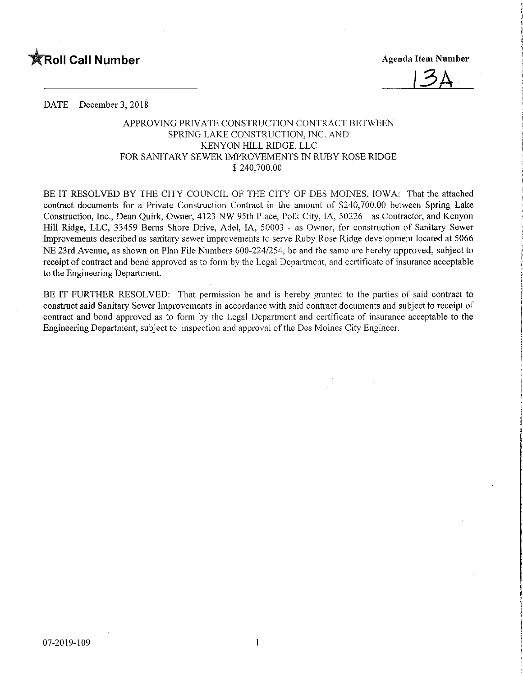

/3A

DATE December 3, 2018

## APPROVING PRIVATE CONSTRUCTION CONTRACT BETWEEN SPRING LAKE CONSTRUCTION, INC. AND KENYON HILL RIDGE, LLC FOR SANITARY SEWER IMPROVEMENTS IN RUBY ROSE RIDGE \$ 240,700.00

BE IT RESOLVED BY THE CITY COUNCIL OF THE CITY OF DES MOINES, IOWA: That the attached contract documents for a Private Construction Contract in the amount of \$240,700.00 between Spring Lake Construction, Inc., Dean Quirk, Owner, 4123 NW 95th Place, Polk City, IA, 50226 - as Contractor, and Kenyan Hill Ridge, LLC, 33459 Bems Shore Drive, Adel, IA, 50003 - as Owner, for construction of Sanitary Sewer Improvements described as sariitary sewer improvements to serve Ruby Rose Ridge development located at 5066 NE 23rd Avenue, as shown on Plan File Numbers 600-224/254, be and the same are hereby approved, subject to receipt of contract and bond approved as to form by the Legal Department, and certificate of insurance acceptable to the Engineering Department.

BE IT FURTHER RESOLVED: That permission be and is hereby granted to the parties of said contract to construct said Sanitary Sewer Improvements in accordance with said contract documents and subject to receipt of contract and bond approved as to form by the Legal Department and certificate of insurance acceptable to the Engineering Department, subject to inspection and approval of the Des Moines City Engineer.